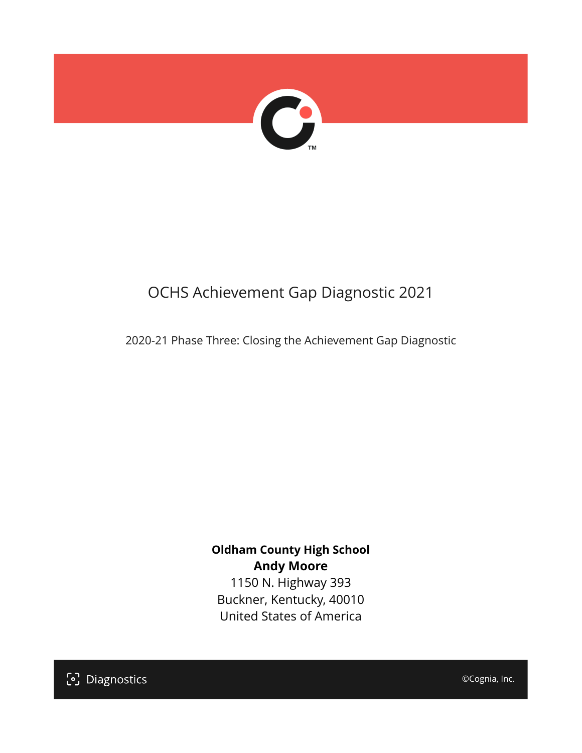

# OCHS Achievement Gap Diagnostic 2021

2020-21 Phase Three: Closing the Achievement Gap Diagnostic

## **Oldham County High School Andy Moore**

1150 N. Highway 393 Buckner, Kentucky, 40010 United States of America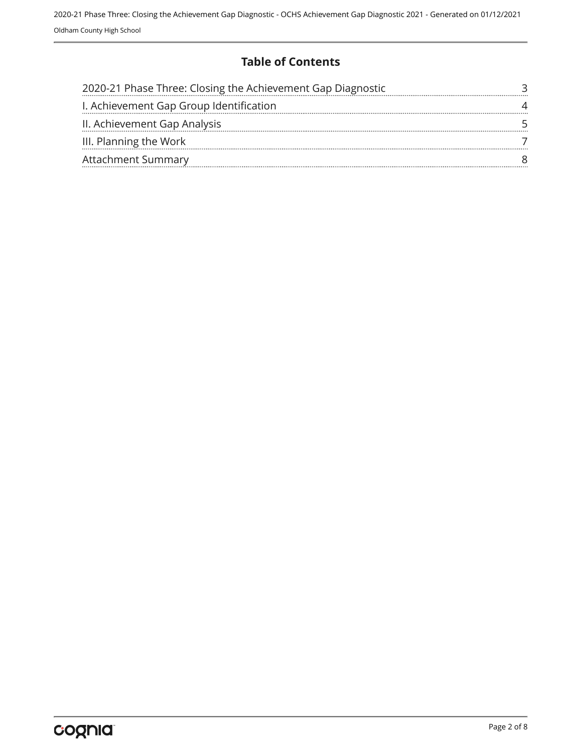### **Table of Contents**

| 2020-21 Phase Three: Closing the Achievement Gap Diagnostic |  |
|-------------------------------------------------------------|--|
| I. Achievement Gap Group Identification                     |  |
| II. Achievement Gap Analysis                                |  |
| III. Planning the Work                                      |  |
| <b>Attachment Summary</b>                                   |  |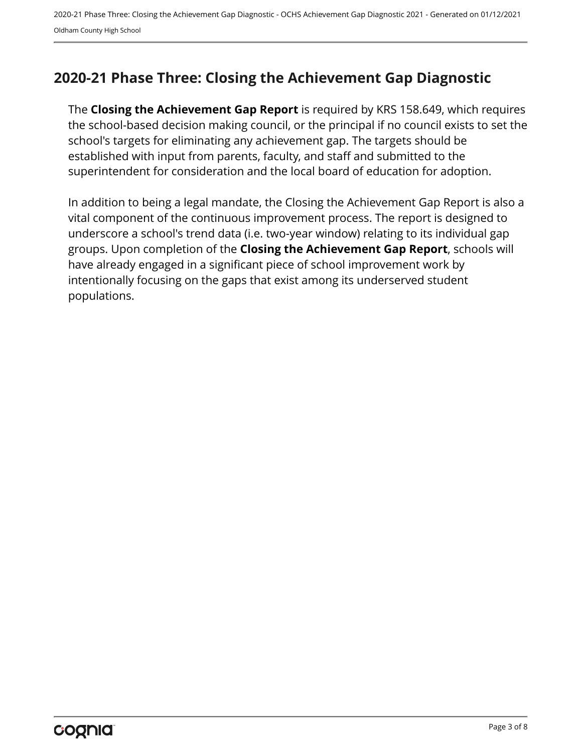## <span id="page-2-0"></span>**2020-21 Phase Three: Closing the Achievement Gap Diagnostic**

The **Closing the Achievement Gap Report** is required by KRS 158.649, which requires the school-based decision making council, or the principal if no council exists to set the school's targets for eliminating any achievement gap. The targets should be established with input from parents, faculty, and staff and submitted to the superintendent for consideration and the local board of education for adoption.

In addition to being a legal mandate, the Closing the Achievement Gap Report is also a vital component of the continuous improvement process. The report is designed to underscore a school's trend data (i.e. two-year window) relating to its individual gap groups. Upon completion of the **Closing the Achievement Gap Report**, schools will have already engaged in a significant piece of school improvement work by intentionally focusing on the gaps that exist among its underserved student populations.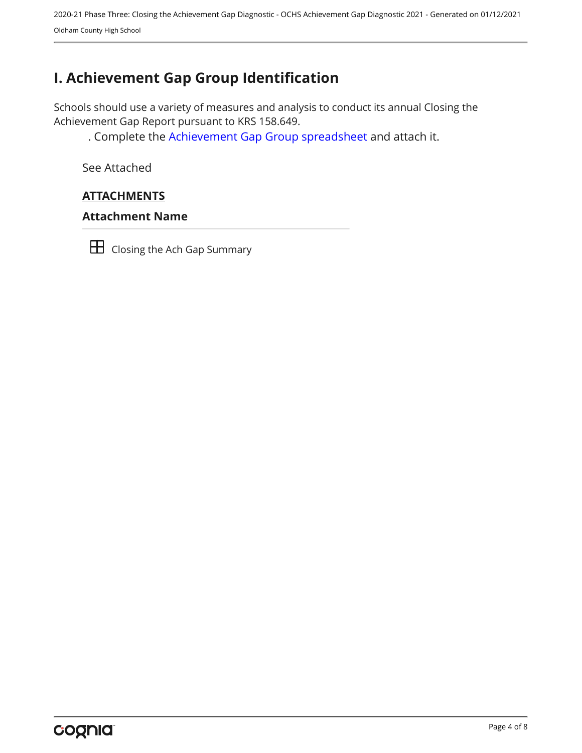2020-21 Phase Three: Closing the Achievement Gap Diagnostic - OCHS Achievement Gap Diagnostic 2021 - Generated on 01/12/2021 Oldham County High School

## <span id="page-3-0"></span>**I. Achievement Gap Group Identification**

Schools should use a variety of measures and analysis to conduct its annual Closing the Achievement Gap Report pursuant to KRS 158.649.

. Complete the [Achievement Gap Group spreadsheet a](https://drive.google.com/file/d/0B7A6n8V1dmUOWFNKY2dSTTFibjA/view?usp=sharing)nd attach it.

See Attached

#### **ATTACHMENTS**

#### **Attachment Name**



**H** Closing the Ach Gap Summary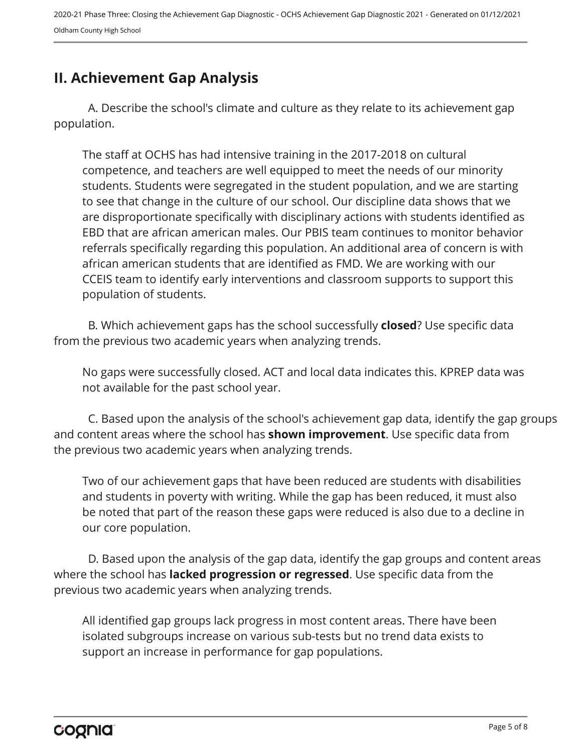## <span id="page-4-0"></span>**II. Achievement Gap Analysis**

A. Describe the school's climate and culture as they relate to its achievement gap population.

The staff at OCHS has had intensive training in the 2017-2018 on cultural competence, and teachers are well equipped to meet the needs of our minority students. Students were segregated in the student population, and we are starting to see that change in the culture of our school. Our discipline data shows that we are disproportionate specifically with disciplinary actions with students identified as EBD that are african american males. Our PBIS team continues to monitor behavior referrals specifically regarding this population. An additional area of concern is with african american students that are identified as FMD. We are working with our CCEIS team to identify early interventions and classroom supports to support this population of students.

B. Which achievement gaps has the school successfully **closed**? Use specific data from the previous two academic years when analyzing trends.

No gaps were successfully closed. ACT and local data indicates this. KPREP data was not available for the past school year.

C. Based upon the analysis of the school's achievement gap data, identify the gap groups and content areas where the school has **shown improvement**. Use specific data from the previous two academic years when analyzing trends.

Two of our achievement gaps that have been reduced are students with disabilities and students in poverty with writing. While the gap has been reduced, it must also be noted that part of the reason these gaps were reduced is also due to a decline in our core population.

D. Based upon the analysis of the gap data, identify the gap groups and content areas where the school has **lacked progression or regressed**. Use specific data from the previous two academic years when analyzing trends.

All identified gap groups lack progress in most content areas. There have been isolated subgroups increase on various sub-tests but no trend data exists to support an increase in performance for gap populations.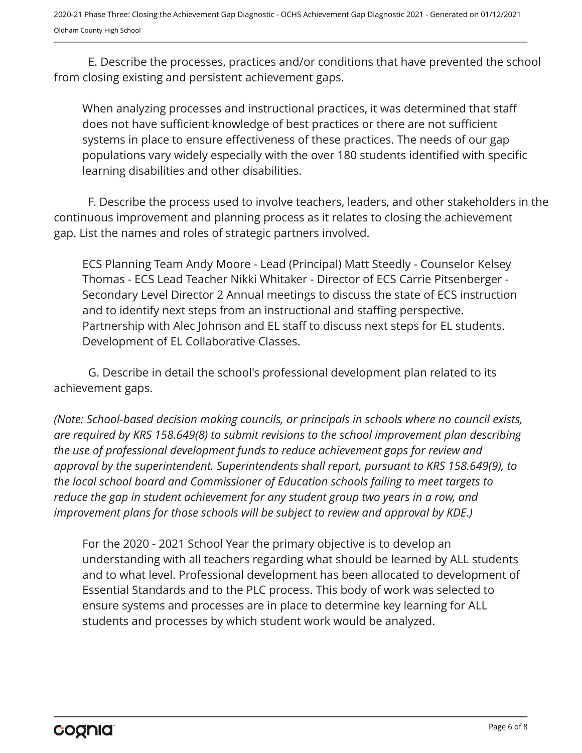2020-21 Phase Three: Closing the Achievement Gap Diagnostic - OCHS Achievement Gap Diagnostic 2021 - Generated on 01/12/2021 Oldham County High School

E. Describe the processes, practices and/or conditions that have prevented the school from closing existing and persistent achievement gaps.

When analyzing processes and instructional practices, it was determined that staff does not have sufficient knowledge of best practices or there are not sufficient systems in place to ensure effectiveness of these practices. The needs of our gap populations vary widely especially with the over 180 students identified with specific learning disabilities and other disabilities.

F. Describe the process used to involve teachers, leaders, and other stakeholders in the continuous improvement and planning process as it relates to closing the achievement gap. List the names and roles of strategic partners involved.

ECS Planning Team Andy Moore - Lead (Principal) Matt Steedly - Counselor Kelsey Thomas - ECS Lead Teacher Nikki Whitaker - Director of ECS Carrie Pitsenberger - Secondary Level Director 2 Annual meetings to discuss the state of ECS instruction and to identify next steps from an instructional and staffing perspective. Partnership with Alec Johnson and EL staff to discuss next steps for EL students. Development of EL Collaborative Classes.

G. Describe in detail the school's professional development plan related to its achievement gaps.

*(Note: School-based decision making councils, or principals in schools where no council exists, are required by KRS 158.649(8) to submit revisions to the school improvement plan describing the use of professional development funds to reduce achievement gaps for review and approval by the superintendent. Superintendents shall report, pursuant to KRS 158.649(9), to the local school board and Commissioner of Education schools failing to meet targets to reduce the gap in student achievement for any student group two years in a row, and improvement plans for those schools will be subject to review and approval by KDE.)* 

For the 2020 - 2021 School Year the primary objective is to develop an understanding with all teachers regarding what should be learned by ALL students and to what level. Professional development has been allocated to development of Essential Standards and to the PLC process. This body of work was selected to ensure systems and processes are in place to determine key learning for ALL students and processes by which student work would be analyzed.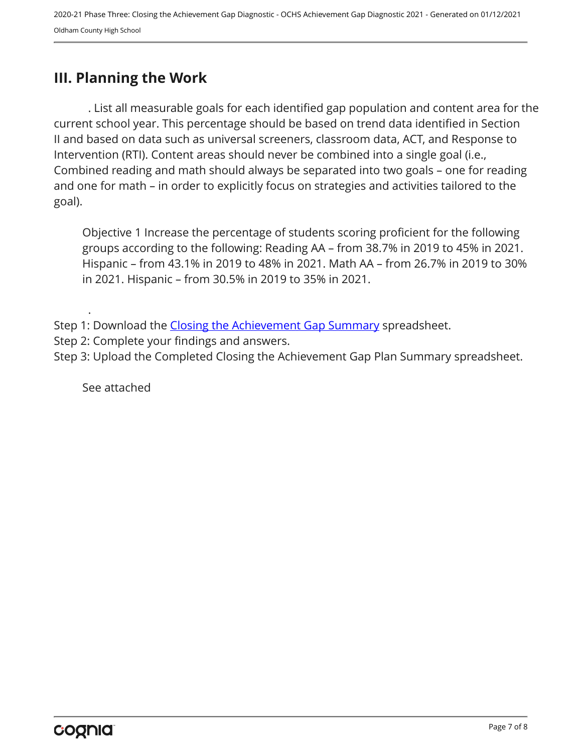## <span id="page-6-0"></span>**III. Planning the Work**

. List all measurable goals for each identified gap population and content area for the current school year. This percentage should be based on trend data identified in Section II and based on data such as universal screeners, classroom data, ACT, and Response to Intervention (RTI). Content areas should never be combined into a single goal (i.e., Combined reading and math should always be separated into two goals – one for reading and one for math – in order to explicitly focus on strategies and activities tailored to the goal).

Objective 1 Increase the percentage of students scoring proficient for the following groups according to the following: Reading AA – from 38.7% in 2019 to 45% in 2021. Hispanic – from 43.1% in 2019 to 48% in 2021. Math AA – from 26.7% in 2019 to 30% in 2021. Hispanic – from 30.5% in 2019 to 35% in 2021.

Step 1: Download the [Closing the Achievement Gap Summary](https://drive.google.com/file/d/0B6i22i6omk4ySmUtTHZuSVRFazQ/view) spreadsheet.

Step 2: Complete your findings and answers.

Step 3: Upload the Completed Closing the Achievement Gap Plan Summary spreadsheet.

See attached

.